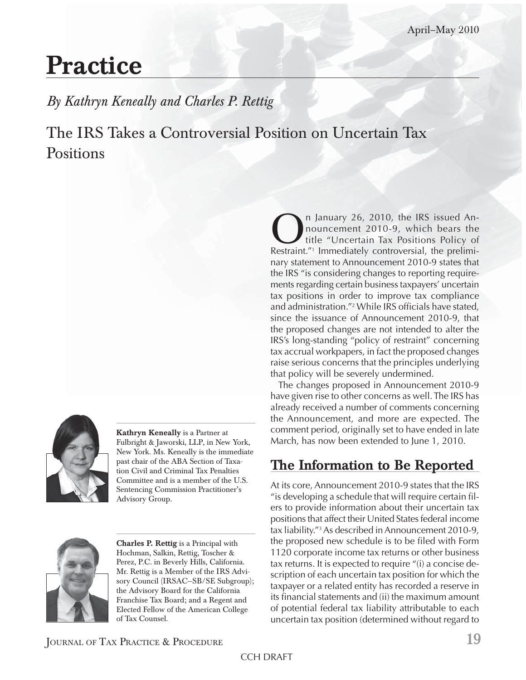# **Practice**

*By Kathryn Keneally and Charles P. Rettig*

The IRS Takes a Controversial Position on Uncertain Tax **Positions** 



**Kathryn Keneally** is a Partner at Fulbright & Jaworski, LLP, in New York, New York. Ms. Keneally is the immediate past chair of the ABA Section of Taxation Civil and Criminal Tax Penalties Committee and is a member of the U.S. Sentencing Commission Practitioner's Advisory Group.



**Charles P. Rettig** is a Principal with Hochman, Salkin, Rettig, Toscher & Perez, P.C. in Beverly Hills, California. Mr. Rettig is a Member of the IRS Advisory Council (IRSAC—SB/SE Subgroup); the Advisory Board for the California Franchise Tax Board; and a Regent and Elected Fellow of the American College of Tax Counsel.

**On** January 26, 2010, the IRS issued An-<br>nouncement 2010-9, which bears the<br>Restraint." Immediately controversial, the preliminouncement 2010-9, which bears the title "Uncertain Tax Positions Policy of Restraint."1 Immediately controversial, the preliminary statement to Announcement 2010-9 states that the IRS "is considering changes to reporting requirements regarding certain business taxpayers' uncertain tax positions in order to improve tax compliance and administration."<sup>2</sup> While IRS officials have stated, since the issuance of Announcement 2010-9, that the proposed changes are not intended to alter the IRS's long-standing "policy of restraint" concerning tax accrual workpapers, in fact the proposed changes raise serious concerns that the principles underlying that policy will be severely undermined.

The changes proposed in Announcement 2010-9 have given rise to other concerns as well. The IRS has already received a number of comments concerning the Announcement, and more are expected. The comment period, originally set to have ended in late March, has now been extended to June 1, 2010.

## **The Information to Be Reported**

At its core, Announcement 2010-9 states that the IRS "is developing a schedule that will require certain fi lers to provide information about their uncertain tax positions that affect their United States federal income tax liability."3 As described in Announcement 2010-9, the proposed new schedule is to be filed with Form 1120 corporate income tax returns or other business tax returns. It is expected to require "(i) a concise description of each uncertain tax position for which the taxpayer or a related entity has recorded a reserve in its financial statements and (ii) the maximum amount of potential federal tax liability attributable to each uncertain tax position (determined without regard to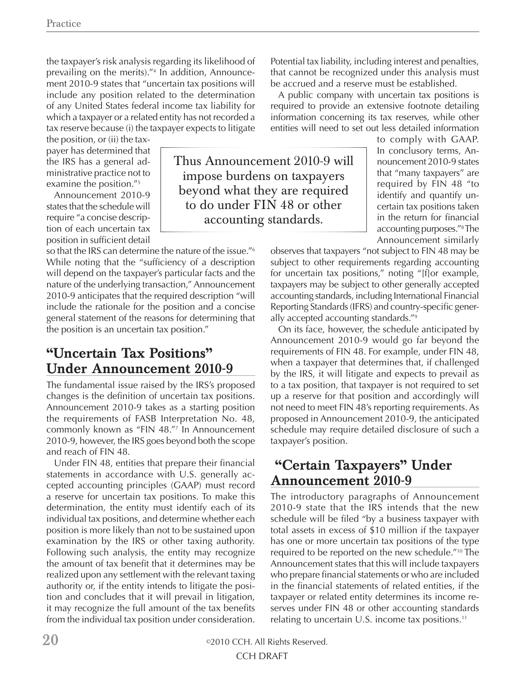the taxpayer's risk analysis regarding its likelihood of prevailing on the merits)."4 In addition, Announcement 2010-9 states that "uncertain tax positions will include any position related to the determination of any United States federal income tax liability for which a taxpayer or a related entity has not recorded a tax reserve because (i) the taxpayer expects to litigate

the position, or (ii) the taxpayer has determined that the IRS has a general administrative practice not to examine the position."5

Announcement 2010-9 states that the schedule will require "a concise description of each uncertain tax position in sufficient detail

so that the IRS can determine the nature of the issue."6 While noting that the "sufficiency of a description will depend on the taxpayer's particular facts and the nature of the underlying transaction," Announcement 2010-9 anticipates that the required description "will include the rationale for the position and a concise general statement of the reasons for determining that the position is an uncertain tax position."

### **"Uncertain Tax Positions" Under Announcement 2010-9**

The fundamental issue raised by the IRS's proposed changes is the definition of uncertain tax positions. Announcement 2010-9 takes as a starting position the requirements of FASB Interpretation No. 48, commonly known as "FIN 48."7 In Announcement 2010-9, however, the IRS goes beyond both the scope and reach of FIN 48.

Under FIN 48, entities that prepare their financial statements in accordance with U.S. generally accepted accounting principles (GAAP) must record a reserve for uncertain tax positions. To make this determination, the entity must identify each of its individual tax positions, and determine whether each position is more likely than not to be sustained upon examination by the IRS or other taxing authority. Following such analysis, the entity may recognize the amount of tax benefit that it determines may be realized upon any settlement with the relevant taxing authority or, if the entity intends to litigate the position and concludes that it will prevail in litigation, it may recognize the full amount of the tax benefits from the individual tax position under consideration. Potential tax liability, including interest and penalties, that cannot be recognized under this analysis must be accrued and a reserve must be established.

A public company with uncertain tax positions is required to provide an extensive footnote detailing information concerning its tax reserves, while other entities will need to set out less detailed information

to comply with GAAP. In conclusory terms, Announcement 2010-9 states that "many taxpayers" are required by FIN 48 "to identify and quantify uncertain tax positions taken in the return for financial accounting purposes."8 The Announcement similarly

observes that taxpayers "not subject to FIN 48 may be subject to other requirements regarding accounting for uncertain tax positions," noting "[f]or example, taxpayers may be subject to other generally accepted accounting standards, including International Financial Reporting Standards (IFRS) and country-specific generally accepted accounting standards."9

On its face, however, the schedule anticipated by Announcement 2010-9 would go far beyond the requirements of FIN 48. For example, under FIN 48, when a taxpayer that determines that, if challenged by the IRS, it will litigate and expects to prevail as to a tax position, that taxpayer is not required to set up a reserve for that position and accordingly will not need to meet FIN 48's reporting requirements. As proposed in Announcement 2010-9, the anticipated schedule may require detailed disclosure of such a taxpayer's position.

#### **"Certain Taxpayers" Under Announcement 2010-9**

The introductory paragraphs of Announcement 2010-9 state that the IRS intends that the new schedule will be filed "by a business taxpayer with total assets in excess of \$10 million if the taxpayer has one or more uncertain tax positions of the type required to be reported on the new schedule."10 The Announcement states that this will include taxpayers who prepare financial statements or who are included in the financial statements of related entities, if the taxpayer or related entity determines its income reserves under FIN 48 or other accounting standards relating to uncertain U.S. income tax positions.11

**20** ©2010 CCH. All Rights Reserved. CCH DRAFT

Thus Announcement 2010-9 will impose burdens on taxpayers beyond what they are required to do under FIN 48 or other accounting standards.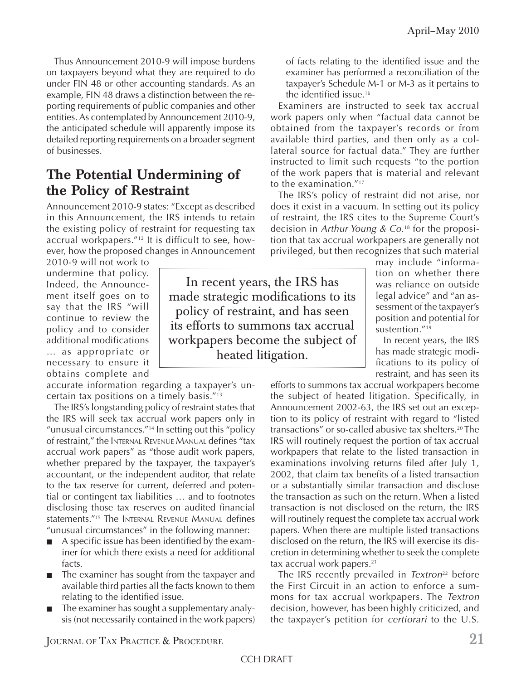Thus Announcement 2010-9 will impose burdens on taxpayers beyond what they are required to do under FIN 48 or other accounting standards. As an example, FIN 48 draws a distinction between the reporting requirements of public companies and other entities. As contemplated by Announcement 2010-9, the anticipated schedule will apparently impose its detailed reporting requirements on a broader segment of businesses.

## **The Potential Undermining of the Policy of Restraint**

Announcement 2010-9 states: "Except as described in this Announcement, the IRS intends to retain the existing policy of restraint for requesting tax accrual workpapers."12 It is difficult to see, however, how the proposed changes in Announcement

2010-9 will not work to undermine that policy. Indeed, the Announcement itself goes on to say that the IRS "will continue to review the policy and to consider additional modifications … as appropriate or necessary to ensure it obtains complete and

accurate information regarding a taxpayer's uncertain tax positions on a timely basis."13

The IRS's longstanding policy of restraint states that the IRS will seek tax accrual work papers only in "unusual circumstances."14 In setting out this "policy of restraint," the INTERNAL REVENUE MANUAL defines "tax accrual work papers" as "those audit work papers, whether prepared by the taxpayer, the taxpayer's accountant, or the independent auditor, that relate to the tax reserve for current, deferred and potential or contingent tax liabilities … and to footnotes disclosing those tax reserves on audited financial statements."<sup>15</sup> The INTERNAL REVENUE MANUAL defines "unusual circumstances" in the following manner:

- A specific issue has been identified by the examiner for which there exists a need for additional facts.
- The examiner has sought from the taxpayer and available third parties all the facts known to them relating to the identified issue.
- The examiner has sought a supplementary analysis (not necessarily contained in the work papers)

In recent years, the IRS has made strategic modifications to its policy of restraint, and has seen its efforts to summons tax accrual workpapers become the subject of heated litigation.

of facts relating to the identified issue and the examiner has performed a reconciliation of the taxpayer's Schedule M-1 or M-3 as it pertains to the identified issue.<sup>16</sup>

Examiners are instructed to seek tax accrual work papers only when "factual data cannot be obtained from the taxpayer's records or from available third parties, and then only as a collateral source for factual data." They are further instructed to limit such requests "to the portion of the work papers that is material and relevant to the examination."<sup>17</sup>

The IRS's policy of restraint did not arise, nor does it exist in a vacuum. In setting out its policy of restraint, the IRS cites to the Supreme Court's decision in *Arthur Young & Co.*18 for the proposition that tax accrual workpapers are generally not privileged, but then recognizes that such material

may include "information on whether there was reliance on outside legal advice" and "an assessment of the taxpayer's position and potential for sustention."19

In recent years, the IRS has made strategic modifications to its policy of restraint, and has seen its

efforts to summons tax accrual workpapers become the subject of heated litigation. Specifically, in Announcement 2002-63, the IRS set out an exception to its policy of restraint with regard to "listed transactions" or so-called abusive tax shelters.20 The IRS will routinely request the portion of tax accrual workpapers that relate to the listed transaction in examinations involving returns filed after July 1, 2002, that claim tax benefits of a listed transaction or a substantially similar transaction and disclose the transaction as such on the return. When a listed transaction is not disclosed on the return, the IRS will routinely request the complete tax accrual work papers. When there are multiple listed transactions disclosed on the return, the IRS will exercise its discretion in determining whether to seek the complete tax accrual work papers.<sup>21</sup>

The IRS recently prevailed in *Textron*<sup>22</sup> before the First Circuit in an action to enforce a summons for tax accrual workpapers. The *Textron*  decision, however, has been highly criticized, and the taxpayer's petition for *certiorari* to the U.S.

JOURNAL OF TAX PRACTICE & PROCEDURE **21**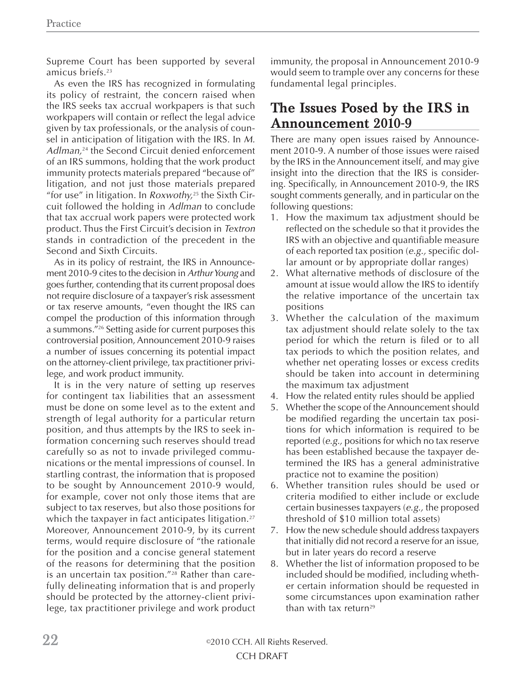Supreme Court has been supported by several amicus briefs.23

As even the IRS has recognized in formulating its policy of restraint, the concern raised when the IRS seeks tax accrual workpapers is that such workpapers will contain or reflect the legal advice given by tax professionals, or the analysis of counsel in anticipation of litigation with the IRS. In *M. Adlman,*24 the Second Circuit denied enforcement of an IRS summons, holding that the work product immunity protects materials prepared "because of" litigation, and not just those materials prepared "for use" in litigation. In *Roxwothy,*<sup>25</sup> the Sixth Circuit followed the holding in *Adlman* to conclude that tax accrual work papers were protected work product. Thus the First Circuit's decision in *Textron* stands in contradiction of the precedent in the Second and Sixth Circuits.

As in its policy of restraint, the IRS in Announcement 2010-9 cites to the decision in *Arthur Young* and goes further, contending that its current proposal does not require disclosure of a taxpayer's risk assessment or tax reserve amounts, "even thought the IRS can compel the production of this information through a summons."26 Setting aside for current purposes this controversial position, Announcement 2010-9 raises a number of issues concerning its potential impact on the attorney-client privilege, tax practitioner privilege, and work product immunity.

It is in the very nature of setting up reserves for contingent tax liabilities that an assessment must be done on some level as to the extent and strength of legal authority for a particular return position, and thus attempts by the IRS to seek information concerning such reserves should tread carefully so as not to invade privileged communications or the mental impressions of counsel. In startling contrast, the information that is proposed to be sought by Announcement 2010-9 would, for example, cover not only those items that are subject to tax reserves, but also those positions for which the taxpayer in fact anticipates litigation.<sup>27</sup> Moreover, Announcement 2010-9, by its current terms, would require disclosure of "the rationale for the position and a concise general statement of the reasons for determining that the position is an uncertain tax position."28 Rather than carefully delineating information that is and properly should be protected by the attorney-client privilege, tax practitioner privilege and work product

immunity, the proposal in Announcement 2010-9 would seem to trample over any concerns for these fundamental legal principles.

#### **The Issues Posed by the IRS in Announcement 2010-9**

There are many open issues raised by Announcement 2010-9. A number of those issues were raised by the IRS in the Announcement itself, and may give insight into the direction that the IRS is considering. Specifically, in Announcement 2010-9, the IRS sought comments generally, and in particular on the following questions:

- 1. How the maximum tax adjustment should be reflected on the schedule so that it provides the IRS with an objective and quantifiable measure of each reported tax position (*e.g.*, specific dollar amount or by appropriate dollar ranges)
- 2. What alternative methods of disclosure of the amount at issue would allow the IRS to identify the relative importance of the uncertain tax positions
- 3. Whether the calculation of the maximum tax adjustment should relate solely to the tax period for which the return is filed or to all tax periods to which the position relates, and whether net operating losses or excess credits should be taken into account in determining the maximum tax adjustment
- 4. How the related entity rules should be applied
- 5. Whether the scope of the Announcement should be modified regarding the uncertain tax positions for which information is required to be reported (*e.g.,* positions for which no tax reserve has been established because the taxpayer determined the IRS has a general administrative practice not to examine the position)
- 6. Whether transition rules should be used or criteria modified to either include or exclude certain businesses taxpayers (*e.g.,* the proposed threshold of \$10 million total assets)
- 7. How the new schedule should address taxpayers that initially did not record a reserve for an issue, but in later years do record a reserve
- 8. Whether the list of information proposed to be included should be modified, including whether certain information should be requested in some circumstances upon examination rather than with tax return<sup>29</sup>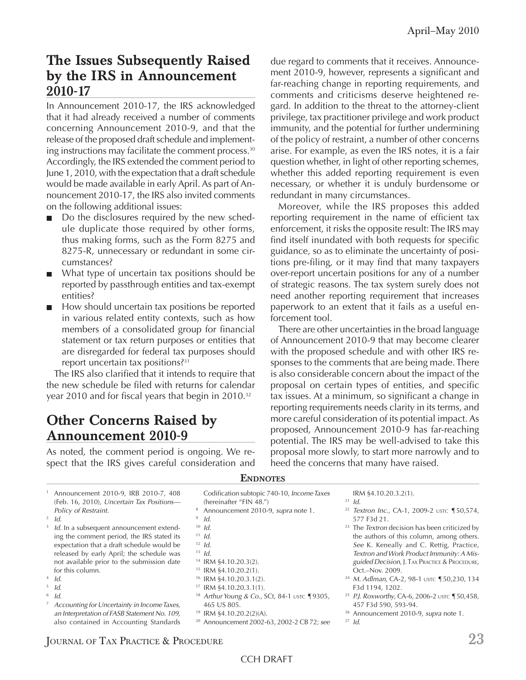### **The Issues Subsequently Raised by the IRS in Announcement 2010-17**

In Announcement 2010-17, the IRS acknowledged that it had already received a number of comments concerning Announcement 2010-9, and that the release of the proposed draft schedule and implementing instructions may facilitate the comment process.30 Accordingly, the IRS extended the comment period to June 1, 2010, with the expectation that a draft schedule would be made available in early April. As part of Announcement 2010-17, the IRS also invited comments on the following additional issues:

- Do the disclosures required by the new schedule duplicate those required by other forms, thus making forms, such as the Form 8275 and 8275-R, unnecessary or redundant in some circumstances?
- What type of uncertain tax positions should be reported by passthrough entities and tax-exempt entities?
- How should uncertain tax positions be reported in various related entity contexts, such as how members of a consolidated group for financial statement or tax return purposes or entities that are disregarded for federal tax purposes should report uncertain tax positions?31

The IRS also clarified that it intends to require that the new schedule be filed with returns for calendar year 2010 and for fiscal years that begin in  $2010.^{32}$ 

#### **Other Concerns Raised by Announcement 2010-9**

As noted, the comment period is ongoing. We respect that the IRS gives careful consideration and due regard to comments that it receives. Announcement 2010-9, however, represents a significant and far-reaching change in reporting requirements, and comments and criticisms deserve heightened regard. In addition to the threat to the attorney-client privilege, tax practitioner privilege and work product immunity, and the potential for further undermining of the policy of restraint, a number of other concerns arise. For example, as even the IRS notes, it is a fair question whether, in light of other reporting schemes, whether this added reporting requirement is even necessary, or whether it is unduly burdensome or redundant in many circumstances.

Moreover, while the IRS proposes this added reporting requirement in the name of efficient tax enforcement, it risks the opposite result: The IRS may find itself inundated with both requests for specific guidance, so as to eliminate the uncertainty of positions pre-filing, or it may find that many taxpayers over-report uncertain positions for any of a number of strategic reasons. The tax system surely does not need another reporting requirement that increases paperwork to an extent that it fails as a useful enforcement tool.

There are other uncertainties in the broad language of Announcement 2010-9 that may become clearer with the proposed schedule and with other IRS responses to the comments that are being made. There is also considerable concern about the impact of the proposal on certain types of entities, and specific tax issues. At a minimum, so significant a change in reporting requirements needs clarity in its terms, and more careful consideration of its potential impact. As proposed, Announcement 2010-9 has far-reaching potential. The IRS may be well-advised to take this proposal more slowly, to start more narrowly and to heed the concerns that many have raised.

| Announcement 2010-9, IRB 2010-7, 408<br>(Feb. 16, 2010), Uncertain Tax Positions-<br>Policy of Restraint. | Codification subtopic 740-10, Income Taxes<br>(hereinafter "FIN 48.")<br>Announcement 2010-9, supra note 1. | IRM §4.10.20.3.2(1).<br>$^{21}$ Id.<br><sup>22</sup> Textron Inc., CA-1, 2009-2 USTC 150,574,                 |
|-----------------------------------------------------------------------------------------------------------|-------------------------------------------------------------------------------------------------------------|---------------------------------------------------------------------------------------------------------------|
| $\frac{2}{d}$ Id.                                                                                         | Id.                                                                                                         | 577 F3d 21.                                                                                                   |
| $3$ Id. In a subsequent announcement extend-<br>ing the comment period, the IRS stated its                | $10$ Id.<br>$11$ Id.                                                                                        | <sup>23</sup> The <i>Textron</i> decision has been criticized by<br>the authors of this column, among others. |
| expectation that a draft schedule would be                                                                | $12$ Id.                                                                                                    | See K. Keneally and C. Rettig, Practice,                                                                      |
| released by early April; the schedule was                                                                 | $13$ Id.                                                                                                    | Textron and Work Product Immunity: A Mis-                                                                     |
| not available prior to the submission date                                                                | $14$ IRM §4.10.20.3(2).                                                                                     | guided Decision, J. TAX PRACTICE & PROCEDURE,                                                                 |
| for this column.                                                                                          | <sup>15</sup> IRM $$4.10.20.2(1)$ .                                                                         | Oct.-Nov. 2009.                                                                                               |
| $4$ Id.                                                                                                   | <sup>16</sup> IRM §4.10.20.3.1(2).                                                                          | <sup>24</sup> M. Adlman, CA-2, 98-1 USTC 150,230, 134                                                         |
| $\frac{5}{6}$ Id.                                                                                         | <sup>17</sup> IRM $\S 4.10.20.3.1(1)$ .                                                                     | F3d 1194, 1202.                                                                                               |
| $6$ Id.                                                                                                   | <sup>18</sup> Arthur Young & Co., SCt, 84-1 ustc $\P$ 9305,                                                 | <sup>25</sup> P.J. Roxworthy, CA-6, 2006-2 USTC $\P$ 50,458,                                                  |
| Accounting for Uncertainty in Income Taxes,                                                               | 465 US 805.                                                                                                 | 457 F3d 590, 593-94.                                                                                          |
| an Interpretation of FASB Statement No. 109,                                                              | <sup>19</sup> IRM §4.10.20.2(2)(A).                                                                         | <sup>26</sup> Announcement 2010-9, supra note 1.                                                              |
| also contained in Accounting Standards                                                                    | <sup>20</sup> Announcement 2002-63, 2002-2 CB 72; see                                                       | $^{27}$ Id.                                                                                                   |
|                                                                                                           |                                                                                                             |                                                                                                               |

#### **ENDNOTES**